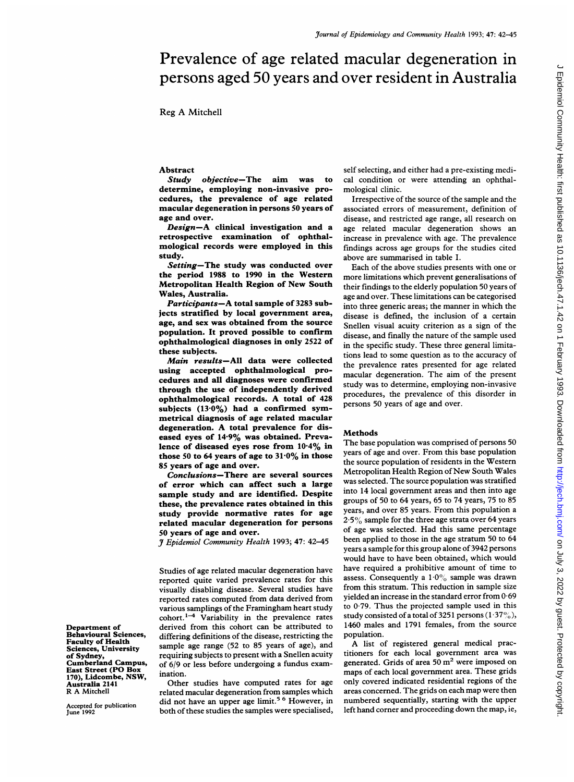# Prevalence of age related macular degeneration in persons aged 50 years and over resident in Australia

Reg A Mitchell

# Abstract<br>Study

objective-The aim was to determine, employing non-invasive procedures, the prevalence of age related macular degeneration in persons 50 years of age and over.

Design-A clinical investigation and a retrospective examination of ophthalmological records were employed in this study.

Setting-The study was conducted over the period 1988 to 1990 in the Western Metropolitan Health Region of New South Wales, Australia.

Participants-A total sample of 3283 subjects stratified by local government area, age, and sex was obtained from the source population. It proved possible to confirm ophthalmological diagnoses in only 2522 of these subjects.

Main results-All data were collected using accepted ophthalmological procedures and all diagnoses were confirmed through the use of independently derived ophthalmological records. A total of <sup>428</sup> subjects  $(13.0\%)$  had a confirmed symmetrical diagnosis of age related macular degeneration. A total prevalence for diseased eyes of 14-9% was obtained. Prevalence of diseased eyes rose from 10-4% in those 50 to 64 years of age to  $31.0\%$  in those 85 years of age and over.

Conclusions-There are several sources of error which can affect such a large sample study and are identified. Despite these, the prevalence rates obtained in this study provide normative rates for age related macular degeneration for persons 50 years of age and over.

J Epidemiol Community Health 1993; 47: 42-45

Studies of age related macular degeneration have reported quite varied prevalence rates for this visually disabling disease. Several studies have reported rates computed from data derived from various samplings of the Framingham heart study cohort. $1-4$  Variability in the prevalence rates derived from this cohort can be attributed to differing definitions of the disease, restricting the sample age range (52 to 85 years of age), and requiring subjects to present with a Snellen acuity of 6/9 or less before undergoing <sup>a</sup> fundus examination.

Other studies have computed rates for age related macular degeneration from samples which did not have an upper age limit.<sup>5 6</sup> However, in both of these studies the samples were specialised, self selecting, and either had a pre-existing medical condition or were attending an ophthalmological clinic.

Irrespective of the source of the sample and the associated errors of measurement, definition of disease, and restricted age range, all research on age related macular degeneration shows an increase in prevalence with age. The prevalence findings across age groups for the studies cited above are summarised in table I.

Each of the above studies presents with one or more limitations which prevent generalisations of their findings to the elderly population 50 years of age and over. These limitations can be categorised into three generic areas; the manner in which the disease is defined, the inclusion of a certain Snellen visual acuity criterion as a sign of the disease, and finally the nature of the sample used in the specific study. These three general limitations lead to some question as to the accuracy of the prevalence rates presented for age related macular degeneration. The aim of the present study was to determine, employing non-invasive procedures, the prevalence of this disorder in persons 50 years of age and over.

# Methods

The base population was comprised of persons 50 years of age and over. From this base population the source population of residents in the Western Metropolitan Health Region of New South Wales was selected. The source population was stratified into 14 local government areas and then into age groups of 50 to 64 years, 65 to 74 years, 75 to 85 years, and over 85 years. From this population <sup>a</sup>  $2.5\%$  sample for the three age strata over 64 years of age was selected. Had this same percentage been applied to those in the age stratum 50 to 64 years a sample for this group alone of 3942 persons would have to have been obtained, which would have required <sup>a</sup> prohibitive amount of time to assess. Consequently a  $1.0\%$  sample was drawn from this stratum. This reduction in sample size yielded an increase in the standard error from  $0.69$ to 0-79. Thus the projected sample used in this study consisted of a total of 3251 persons  $(1.37\%)$ , 1460 males and 1791 females, from the source population.

A list of registered general medical practitioners for each local government area was generated. Grids of area <sup>50</sup> m2 were imposed on maps of each local government area. These grids only covered indicated residential regions of the areas concerned. The grids on each map were then numbered sequentially, starting with the upper left hand corner and proceeding down the map, ie,

Department of Behavioural Sciences, Faculty of Health Sciences, University of Sydney, Cumberland Campus, East Street (PO Box 170), Lidcombe, NSW, Australia 2141 R A Mitchell

Accepted for publication June 1992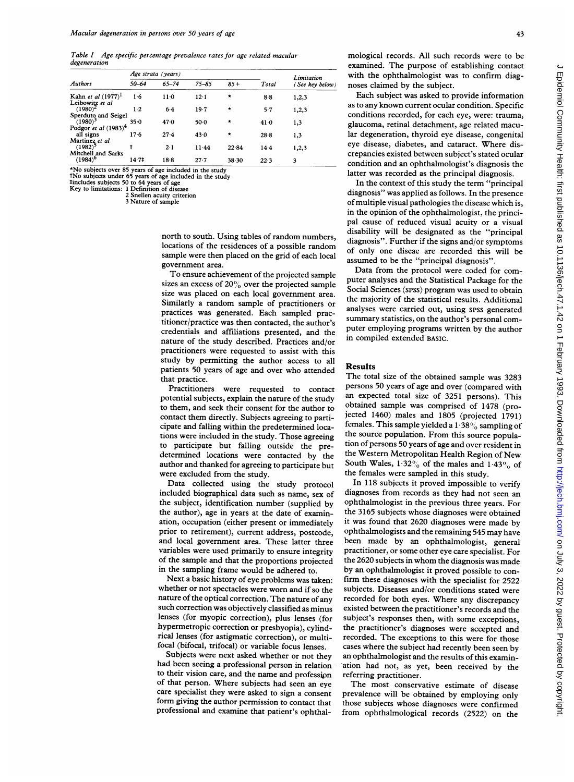Table I Age specific percentage prevalence rates for age related macular degeneration

|                                          |        | Age strata (years) |           | Limitation |       |                 |  |
|------------------------------------------|--------|--------------------|-----------|------------|-------|-----------------|--|
| Authors                                  | 50-64  | $65 - 74$          | $75 - 85$ | $85+$      | Total | (See key below) |  |
| Kahn et al $(1977)^1$<br>Leibowitz et al | 1.6    | 11.0               | $12 - 1$  | $\star$    | 88    | 1,2,3           |  |
| $(1980)^2$                               | $1-2$  | 6.4                | 19.7      | $\star$    | 5.7   | 1,2,3           |  |
| Sperduto and Seigel                      |        |                    |           |            |       |                 |  |
| $(1980)^3$                               | 35.O   | 470                | 50.0      | $\star$    | 41.0  | 1,3             |  |
| Podgor et al $(1983)^4$                  |        |                    |           |            |       |                 |  |
| all signs                                | $17-6$ | $27-4$             | 43.0      | $\star$    | 28.8  | 1,3             |  |
| Martinez et al                           |        |                    |           |            |       |                 |  |
| $(1982)^{2}$                             |        | $2 - 1$            | $11 - 44$ | 22.84      | 14.4  | 1,2,3           |  |
| Mitchell and Sarks                       |        |                    |           |            |       |                 |  |
| $(1984)^{o}$                             | 14.71  | 18.8               | 27.7      | 38 30      | 22.3  | 3               |  |

\*No subjects over <sup>85</sup> years of age included in the study

tNo subjects under 65 years of age included in the study tincludes subjects 50 to 64 years of age

Key to limitations: 1 Definition of disease<br>2 Spellen acuity criteri

2 Snellen acuity criterion 3 Nature of sample

north to south. Using tables of random numbers, locations of the residences of a possible random sample were then placed on the grid of each local government area.

To ensure achievement of the projected sample sizes an excess of 20% over the projected sample size was placed on each local government area. Similarly a random sample of practitioners or practices was generated. Each sampled practitioner/practice was then contacted, the author's credentials and affiliations presented, and the nature of the study described. Practices and/or practitioners were requested to assist with this study by permitting the author access to all patients 50 years of age and over who attended that practice.

Practitioners were requested to contact potential subjects, explain the nature of the study to them, and seek their consent for the author to contact them directly. Subjects agreeing to participate and falling within the predetermined locations were included in the study. Those agreeing to participate but falling outside the predetermined locations were contacted by the author and thanked for agreeing to participate but were excluded from the study.

Data collected using the study protocol included biographical data such as name, sex of the subject, identification number (supplied by the author), age in years at the date of examination, occupation (either present or immediately prior to retirement), current address, postcode, and local government area. These latter three variables were used primarily to ensure integrity of the sample and that the proportions projected in the sampling frame would be adhered to.

Next a basic history of eye problems was taken: whether or not spectacles were worn and if so the nature of the optical correction. The nature of any such correction was objectively classified as minus lenses (for myopic correction), plus lenses (for hypermetropic correction or presbyopia), cylindrical lenses (for astigmatic correction), or multifocal (bifocal, trifocal) or variable focus lenses.

Subjects were next asked whether or not they had been seeing a professional person in relation to their vision care, and the name and professipn of that person. Where subjects had seen an eye care specialist they were asked to sign a consent form giving the author permission to contact that professional and examine that patient's ophthalmological records. All such records were to be examined. The purpose of establishing contact with the ophthalmologist was to confirm diagnoses claimed by the subject.

Each subject was asked to provide information as to any known current ocular condition. Specific conditions recorded, for each eye, were: trauma, glaucoma, retinal detachment, age related macular degeneration, thyroid eye disease, congenital eye disease, diabetes, and cataract. Where discrepancies existed between subject's stated ocular condition and an ophthalmologist's diagnosis the latter was recorded as the principal diagnosis.

In the context of this study the term "principal diagnosis" was applied as follows. In the presence ofmultiple visual pathologies the disease which is, in the opinion of the ophthalmologist, the principal cause of reduced visual acuity or a visual disability will be designated as the "principal diagnosis". Further if the signs and/or symptoms of only one diseae are recorded this will be assumed to be the "principal diagnosis".

Data from the protocol were coded for computer analyses and the Statistical Package for the Social Sciences (spss) program was used to obtain the majority of the statistical results. Additional analyses were carried out, using spss generated summary statistics, on the author's personal computer employing programs written by the author in compiled extended BASIC.

## Results

The total size of the obtained sample was <sup>3283</sup> persons 50 years of age and over (compared with an expected total size of 3251 persons). This obtained sample was comprised of 1478 (pro jected 1460) males and 1805 (projected 1791) females. This sample yielded a  $1.38\%$  sampling of the source population. From this source population of persons 50 years of age and over resident in the Western Metropolitan Health Region of New South Wales,  $1.32\%$  of the males and  $1.43\%$  of the females were sampled in this study.

In <sup>118</sup> subjects it proved impossible to verify diagnoses from records as they had not seen an ophthalmologist in the previous three years. For the 3165 subjects whose diagnoses were obtained it was found that <sup>2620</sup> diagnoses were made by ophthalmologists and the remaining 545 may have been made by an ophthalmologist, general practitioner, or some other eye care specialist. For the 2620 subjects in whom the diagnosis was made by an ophthalmologist it proved possible to confirm these diagnoses with the specialist for 2522 subjects. Diseases and/or conditions stated were recorded for both eyes. Where any discrepancy existed between the practitioner's records and the subject's responses then, with some exceptions, the practitioner's diagnoses were accepted and recorded. The exceptions to this were for those cases where the subject had recently been seen by an ophthalmologist and the results of this examination had not, as yet, been received by the referring practitioner.

The most conservative estimate of disease prevalence will be obtained by employing only those subjects whose diagnoses were confirmed from ophthalmological records (2522) on the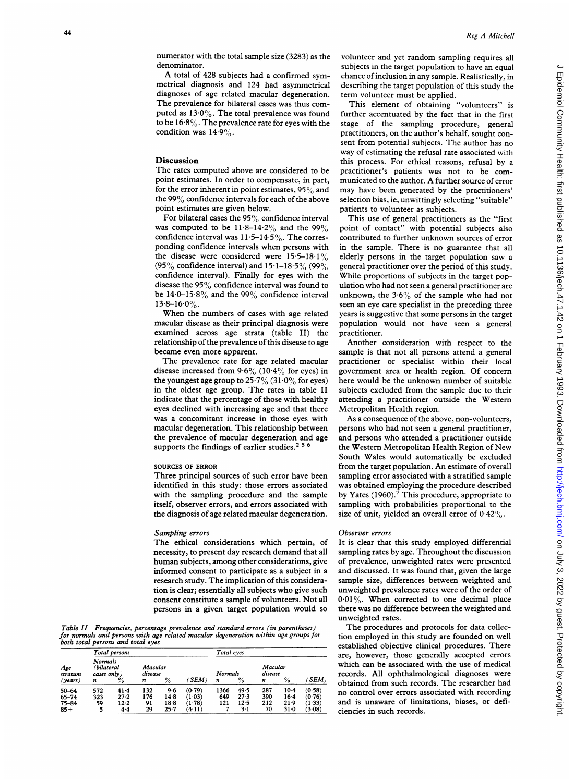numerator with the total sample size (3283) as the denominator.

A total of <sup>428</sup> subjects had <sup>a</sup> confirmed symmetrical diagnosis and 124 had asymmetrical diagnoses of age related macular degeneration. The prevalence for bilateral cases was thus computed as  $13.0\%$ . The total prevalence was found to be  $16.8\%$ . The prevalence rate for eyes with the condition was  $14.9\%$ .

## **Discussion**

The rates computed above are considered to be point estimates. In order to compensate, in part, for the error inherent in point estimates,  $95\%$  and the 99% confidence intervals for each of the above point estimates are given below.

For bilateral cases the  $95\%$  confidence interval was computed to be  $11.8-14.2\%$  and the 99% confidence interval was  $11.5-14.5\%$ . The corresponding confidence intervals when persons with the disease were considered were  $15.5-18.1\%$ (95% confidence interval) and  $15 \cdot 1 - 18 \cdot 5\%$  (99%) confidence interval). Finally for eyes with the disease the  $95\%$  confidence interval was found to be  $14.0-15.8\%$  and the 99% confidence interval  $13.8 - 16.0\%$ .

When the numbers of cases with age related macular disease as their principal diagnosis were examined across age strata (table II) the relationship of the prevalence of this disease to age became even more apparent.

The prevalence rate for age related macular disease increased from  $9.6\%$  (10.4% for eyes) in the youngest age group to  $25.7\%$  (31.0% for eyes) in the oldest age group. The rates in table II indicate that the percentage of those with healthy eyes declined with increasing age and that there was a concomitant increase in those eyes with macular degeneration. This relationship between the prevalence of macular degeneration and age supports the findings of earlier studies.<sup>256</sup>

### SOURCES OF ERROR

Three principal sources of such error have been identified in this study: those errors associated with the sampling procedure and the sample itself, observer errors, and errors associated with the diagnosis of age related macular degeneration.

#### Sampling errors

The ethical considerations which pertain, of necessity, to present day research demand that all human subjects, among other considerations, give informed consent to participate as a subject in a research study. The implication of this consideration is clear; essentially all subjects who give such consent constitute <sup>a</sup> sample of volunteers. Not all persons in a given target population would so

Table II Frequencies, percentage prevalence and standard errors (in parentheses) for normals and persons with age related macular degeneration within age groups for both total persons and total eyes

| Age<br>stratum<br>(years) | Total persons                        |      |                    |          |         | Total eyes |                    |     |          |        |
|---------------------------|--------------------------------------|------|--------------------|----------|---------|------------|--------------------|-----|----------|--------|
|                           | Normals<br>(bilateral<br>cases only) |      | Macular<br>disease |          | Normals |            | Macular<br>disease |     |          |        |
|                           | n                                    | %    | n                  | %        | (SEM)   | n          | %                  | n   | $\%$     | (SEM)  |
| $50 - 64$                 | 572                                  | 41.4 | 132                | 9.6      | (0.79)  | 1366       | 49.5               | 287 | $10-4$   | (0.58) |
| $65 - 74$                 | 323                                  | 27.2 | 176                | 14.8     | (1.03)  | 649        | 27.3               | 390 | $16 - 4$ | (0.76) |
| 75-84                     | 59                                   | 12.2 | 91                 | 18.8     | (1.78)  | 121        | 12.5               | 212 | 21.9     | (1.33) |
| $85+$                     | 5                                    | 4.4  | 29                 | $25 - 7$ | (4.11)  | 7          | $3 - 1$            | 70  | 31.0     | (3.08) |

volunteer and yet random sampling requires all subjects in the target population to have an equal chance of inclusion in any sample. Realistically, in describing the target population of this study the term volunteer must be applied.

This element of obtaining "volunteers" is further accentuated by the fact that in the first stage of the sampling procedure, general practitioners, on the author's behalf, sought consent from potential subjects. The author has no way of estimating the refusal rate associated with this process. For ethical reasons, refusal by a practitioner's patients was not to be communicated to the author. A further source of error may have been generated by the practitioners' selection bias, ie, unwittingly selecting "suitable" patients to volunteer as subjects.

This use of general practitioners as the "first point of contact" with potential subjects also contributed to further unknown sources of error in the sample. There is no guarantee that all elderly persons in the target population saw a general practitioner over the period of this study. While proportions of subjects in the target population who had not seen <sup>a</sup> general practitioner are unknown, the  $3.6\%$  of the sample who had not seen an eye care specialist in the preceding three years is suggestive that some persons in the target population would not have seen a general practitioner.

Another consideration with respect to the sample is that not all persons attend a general practitioner or specialist within their local government area or health region. Of concern here would be the unknown number of suitable subjects excluded from the sample due to their attending a practitioner outside the Western Metropolitan Health region.

As a consequence of the above, non-volunteers, persons who had not seen <sup>a</sup> general practitioner, and persons who attended <sup>a</sup> practitioner outside the Western Metropolitan Health Region of New South Wales would automatically be excluded from the target population. An estimate of overall sampling error associated with a stratified sample was obtained employing the procedure described by Yates (1960).<sup>7</sup> This procedure, appropriate to sampling with probabilities proportional to the size of unit, yielded an overall error of  $0.42\%$ .

#### Observer errors

It is clear that this study employed differential sampling rates by age. Throughout the discussion of prevalence, unweighted rates were presented and discussed. It was found that, given the large sample size, differences between weighted and unweighted prevalence rates were of the order of  $0.01\%$ . When corrected to one decimal place there was no difference between the weighted and unweighted rates.

The procedures and protocols for data collection employed in this study are founded on well established objective clinical procedures. There are, however, those generally accepted errors which can be associated with the use of medical records. All ophthalmological diagnoses were obtained from such records. The researcher had no control over errors associated with recording and is unaware of limitations, biases, or deficiencies in such records.